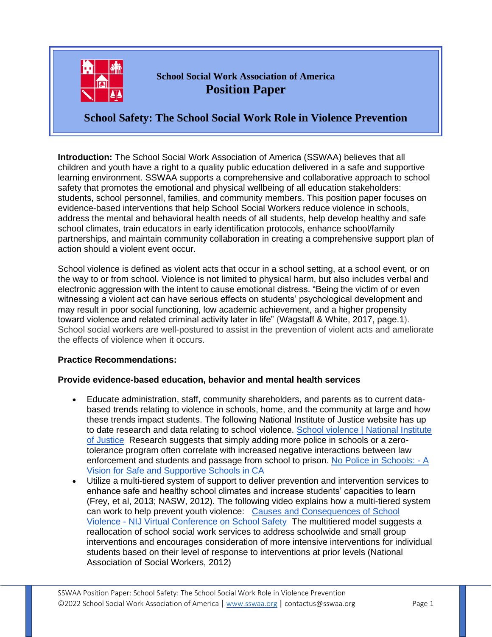

# **School Social Work Association of America Position Paper**

**School Safety: The School Social Work Role in Violence Prevention**

**Introduction:** The School Social Work Association of America (SSWAA) believes that all children and youth have a right to a quality public education delivered in a safe and supportive learning environment. SSWAA supports a comprehensive and collaborative approach to school safety that promotes the emotional and physical wellbeing of all education stakeholders: students, school personnel, families, and community members. This position paper focuses on evidence-based interventions that help School Social Workers reduce violence in schools, address the mental and behavioral health needs of all students, help develop healthy and safe school climates, train educators in early identification protocols, enhance school/family partnerships, and maintain community collaboration in creating a comprehensive support plan of action should a violent event occur.

School violence is defined as violent acts that occur in a school setting, at a school event, or on the way to or from school. Violence is not limited to physical harm, but also includes verbal and electronic aggression with the intent to cause emotional distress. "Being the victim of or even witnessing a violent act can have serious effects on students' psychological development and may result in poor social functioning, low academic achievement, and a higher propensity toward violence and related criminal activity later in life" (Wagstaff & White, 2017, page.1). School social workers are well-postured to assist in the prevention of violent acts and ameliorate the effects of violence when it occurs.

## **Practice Recommendations:**

#### **Provide evidence-based education, behavior and mental health services**

- Educate administration, staff, community shareholders, and parents as to current databased trends relating to violence in schools, home, and the community at large and how these trends impact students. The following National Institute of Justice website has up to date research and data relating to school violence. [School violence | National Institute](https://nij.ojp.gov/taxonomy/term/25206)  [of Justice](https://nij.ojp.gov/taxonomy/term/25206) Research suggests that simply adding more police in schools or a zerotolerance program often correlate with increased negative interactions between law enforcement and students and passage from school to prison. [No Police in Schools: -](https://www.aclusocal.org/sites/default/files/field_documents/no_police_in_schools_-_summary.pdf) A [Vision for Safe and Supportive Schools in CA](https://www.aclusocal.org/sites/default/files/field_documents/no_police_in_schools_-_summary.pdf)
- Utilize a multi-tiered system of support to deliver prevention and intervention services to enhance safe and healthy school climates and increase students' capacities to learn (Frey, et al, 2013; NASW, 2012). The following video explains how a multi-tiered system can work to help prevent youth violence: [Causes and Consequences of School](https://youtu.be/FC-NWROnCQY)  Violence - [NIJ Virtual Conference on School Safety](https://youtu.be/FC-NWROnCQY) The multitiered model suggests a reallocation of school social work services to address schoolwide and small group interventions and encourages consideration of more intensive interventions for individual students based on their level of response to interventions at prior levels (National Association of Social Workers, 2012)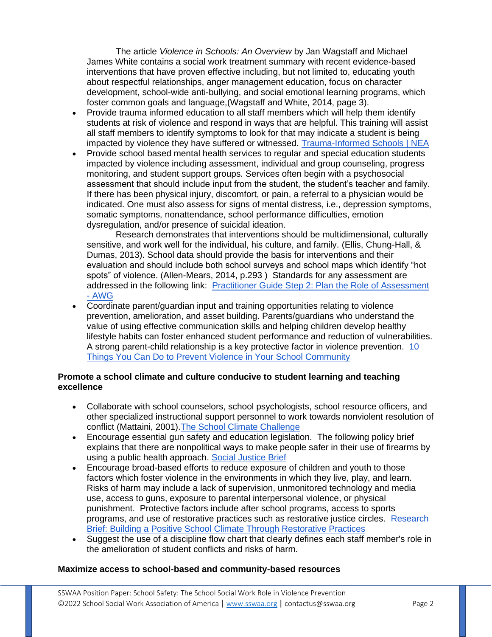The article *Violence in Schools: An Overview* by Jan Wagstaff and Michael James White contains a social work treatment summary with recent evidence-based interventions that have proven effective including, but not limited to, educating youth about respectful relationships, anger management education, focus on character development, school-wide anti-bullying, and social emotional learning programs, which foster common goals and language,(Wagstaff and White, 2014, page 3).

- Provide trauma informed education to all staff members which will help them identify students at risk of violence and respond in ways that are helpful. This training will assist all staff members to identify symptoms to look for that may indicate a student is being impacted by violence they have suffered or witnessed. [Trauma-Informed Schools | NEA](https://www.nea.org/professional-excellence/student-engagement/trauma-informed-schools)
- Provide school based mental health services to regular and special education students impacted by violence including assessment, individual and group counseling, progress monitoring, and student support groups. Services often begin with a psychosocial assessment that should include input from the student, the student's teacher and family. If there has been physical injury, discomfort, or pain, a referral to a physician would be indicated. One must also assess for signs of mental distress, i.e., depression symptoms, somatic symptoms, nonattendance, school performance difficulties, emotion dysregulation, and/or presence of suicidal ideation.

Research demonstrates that interventions should be multidimensional, culturally sensitive, and work well for the individual, his culture, and family. (Ellis, Chung-Hall, & Dumas, 2013). School data should provide the basis for interventions and their evaluation and should include both school surveys and school maps which identify "hot spots" of violence. (Allen-Mears, 2014, p.293 ) Standards for any assessment are addressed in the following link: [Practitioner Guide Step 2: Plan the Role of Assessment](https://measuringsel.casel.org/assessment-guide/step-2-plan-the-role-of-assessment/)  - [AWG](https://measuringsel.casel.org/assessment-guide/step-2-plan-the-role-of-assessment/)

• Coordinate parent/guardian input and training opportunities relating to violence prevention, amelioration, and asset building. Parents/guardians who understand the value of using effective communication skills and helping children develop healthy lifestyle habits can foster enhanced student performance and reduction of vulnerabilities. A strong parent-child relationship is a key protective factor in violence prevention. [10](https://www.pta.org/home/family-resources/safety/School-Safety/Checklist-to-Help-Prevent-Violence-in-Schools)  [Things You Can Do to Prevent Violence in Your School Community](https://www.pta.org/home/family-resources/safety/School-Safety/Checklist-to-Help-Prevent-Violence-in-Schools)

#### **Promote a school climate and culture conducive to student learning and teaching excellence**

- Collaborate with school counselors, school psychologists, school resource officers, and other specialized instructional support personnel to work towards nonviolent resolution of conflict (Mattaini, 2001)[.The School Climate Challenge](https://schoolclimate.org/wp-content/uploads/2021/05/school-climate-challenge-web.pdf)
- Encourage essential gun safety and education legislation. The following policy brief explains that there are nonpolitical ways to make people safer in their use of firearms by using a public health approach. [Social Justice Brief](https://www.socialworkers.org/LinkClick.aspx?fileticket=HlcEGsb8cy0%3D&portalid=0)
- Encourage broad-based efforts to reduce exposure of children and youth to those factors which foster violence in the environments in which they live, play, and learn. Risks of harm may include a lack of supervision, unmonitored technology and media use, access to guns, exposure to parental interpersonal violence, or physical punishment. Protective factors include after school programs, access to sports programs, and use of restorative practices such as restorative justice circles. [Research](https://learningpolicyinstitute.org/sites/default/files/product-files/WCE_Positive_School_Climate_Restorative_Practices_BRIEF.pdf)  [Brief: Building a Positive School Climate Through Restorative Practices](https://learningpolicyinstitute.org/sites/default/files/product-files/WCE_Positive_School_Climate_Restorative_Practices_BRIEF.pdf)
- Suggest the use of a discipline flow chart that clearly defines each staff member's role in the amelioration of student conflicts and risks of harm.

#### **Maximize access to school-based and community-based resources**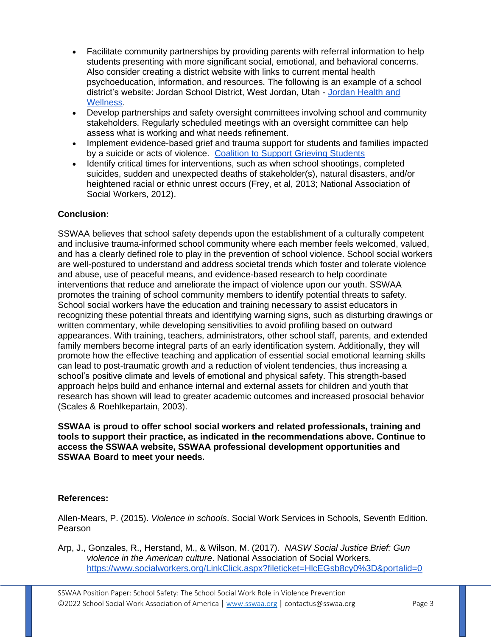- Facilitate community partnerships by providing parents with referral information to help students presenting with more significant social, emotional, and behavioral concerns. Also consider creating a district website with links to current mental health psychoeducation, information, and resources. The following is an example of a school district's website: Jordan School District, West Jordan, Utah - [Jordan Health and](https://wellness.jordandistrict.org/?_ga=2.211324949.1471515537.1641071697-2051725215.1641071697)  [Wellness.](https://wellness.jordandistrict.org/?_ga=2.211324949.1471515537.1641071697-2051725215.1641071697)
- Develop partnerships and safety oversight committees involving school and community stakeholders. Regularly scheduled meetings with an oversight committee can help assess what is working and what needs refinement.
- Implement evidence-based grief and trauma support for students and families impacted by a suicide or acts of violence. [Coalition to Support Grieving Students](https://grievingstudents.org/)
- Identify critical times for interventions, such as when school shootings, completed suicides, sudden and unexpected deaths of stakeholder(s), natural disasters, and/or heightened racial or ethnic unrest occurs (Frey, et al, 2013; National Association of Social Workers, 2012).

## **Conclusion:**

SSWAA believes that school safety depends upon the establishment of a culturally competent and inclusive trauma-informed school community where each member feels welcomed, valued, and has a clearly defined role to play in the prevention of school violence. School social workers are well-postured to understand and address societal trends which foster and tolerate violence and abuse, use of peaceful means, and evidence-based research to help coordinate interventions that reduce and ameliorate the impact of violence upon our youth. SSWAA promotes the training of school community members to identify potential threats to safety. School social workers have the education and training necessary to assist educators in recognizing these potential threats and identifying warning signs, such as disturbing drawings or written commentary, while developing sensitivities to avoid profiling based on outward appearances. With training, teachers, administrators, other school staff, parents, and extended family members become integral parts of an early identification system. Additionally, they will promote how the effective teaching and application of essential social emotional learning skills can lead to post-traumatic growth and a reduction of violent tendencies, thus increasing a school's positive climate and levels of emotional and physical safety. This strength-based approach helps build and enhance internal and external assets for children and youth that research has shown will lead to greater academic outcomes and increased prosocial behavior (Scales & Roehlkepartain, 2003).

#### **SSWAA is proud to offer school social workers and related professionals, training and tools to support their practice, as indicated in the recommendations above. Continue to access the SSWAA website, SSWAA professional development opportunities and SSWAA Board to meet your needs.**

#### **References:**

Allen-Mears, P. (2015). *Violence in schools*. Social Work Services in Schools, Seventh Edition. Pearson

Arp, J., Gonzales, R., Herstand, M., & Wilson, M. (2017). *NASW Social Justice Brief: Gun violence in the American culture*. National Association of Social Workers. <https://www.socialworkers.org/LinkClick.aspx?fileticket=HlcEGsb8cy0%3D&portalid=0>

SSWAA Position Paper: School Safety: The School Social Work Role in Violence Prevention ©2022 School Social Work Association of America | [www.sswaa.org](http://www.sswaa.org/) | contactus@sswaa.org Page 3